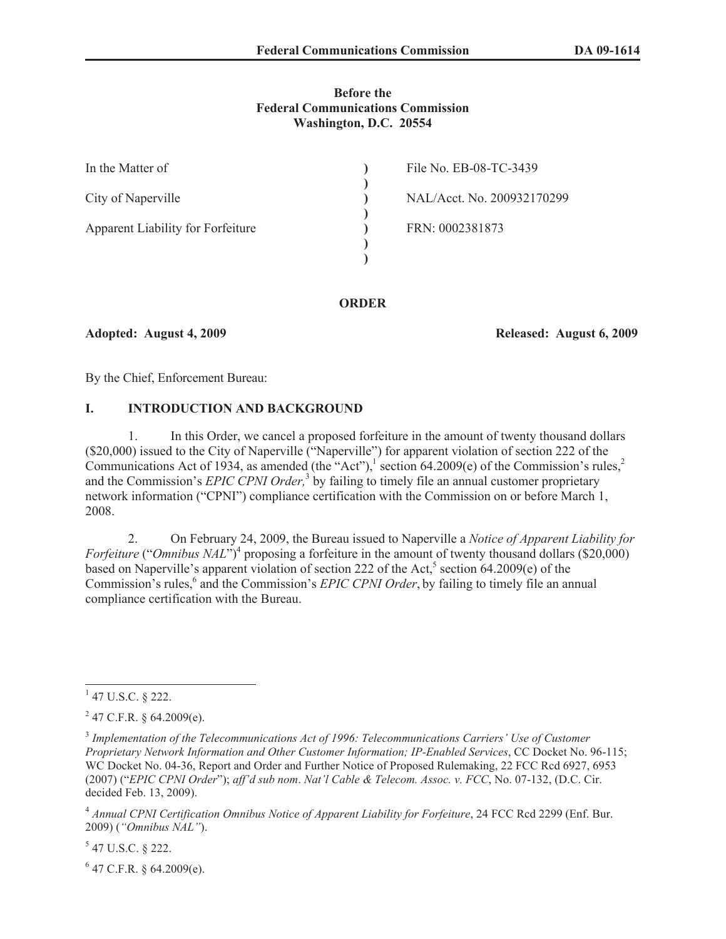## **Before the Federal Communications Commission Washington, D.C. 20554**

| In the Matter of                  | File No. EB-08-TC-3439     |
|-----------------------------------|----------------------------|
| City of Naperville                | NAL/Acct. No. 200932170299 |
| Apparent Liability for Forfeiture | FRN: 0002381873            |
|                                   |                            |

### **ORDER**

**Adopted: August 4, 2009 Released: August 6, 2009**

By the Chief, Enforcement Bureau:

## **I. INTRODUCTION AND BACKGROUND**

1. In this Order, we cancel a proposed forfeiture in the amount of twenty thousand dollars (\$20,000) issued to the City of Naperville ("Naperville") for apparent violation of section 222 of the Communications Act of 1934, as amended (the "Act"), section 64.2009(e) of the Commission's rules,<sup>2</sup> and the Commission's *EPIC CPNI Order*,<sup>3</sup> by failing to timely file an annual customer proprietary network information ("CPNI") compliance certification with the Commission on or before March 1, 2008.

2. On February 24, 2009, the Bureau issued to Naperville a *Notice of Apparent Liability for Forfeiture* ("*Omnibus NAL*")<sup>4</sup> proposing a forfeiture in the amount of twenty thousand dollars (\$20,000) based on Naperville's apparent violation of section 222 of the Act,<sup>5</sup> section 64.2009(e) of the Commission's rules,<sup>6</sup> and the Commission's *EPIC CPNI Order*, by failing to timely file an annual compliance certification with the Bureau.

 $5$  47 U.S.C. § 222.

 $647$  C.F.R. § 64.2009(e).

 $1$  47 U.S.C. § 222.

 $^{2}$  47 C.F.R. § 64.2009(e).

<sup>&</sup>lt;sup>3</sup> Implementation of the Telecommunications Act of 1996: Telecommunications Carriers' Use of Customer *Proprietary Network Information and Other Customer Information; IP-Enabled Services*, CC Docket No. 96-115; WC Docket No. 04-36, Report and Order and Further Notice of Proposed Rulemaking, 22 FCC Rcd 6927, 6953 (2007) ("*EPIC CPNI Order*"); *aff'd sub nom*. *Nat'l Cable & Telecom. Assoc. v. FCC*, No. 07-132, (D.C. Cir. decided Feb. 13, 2009).

<sup>&</sup>lt;sup>4</sup> Annual CPNI Certification Omnibus Notice of Apparent Liability for Forfeiture, 24 FCC Rcd 2299 (Enf. Bur. 2009) (*"Omnibus NAL"*).